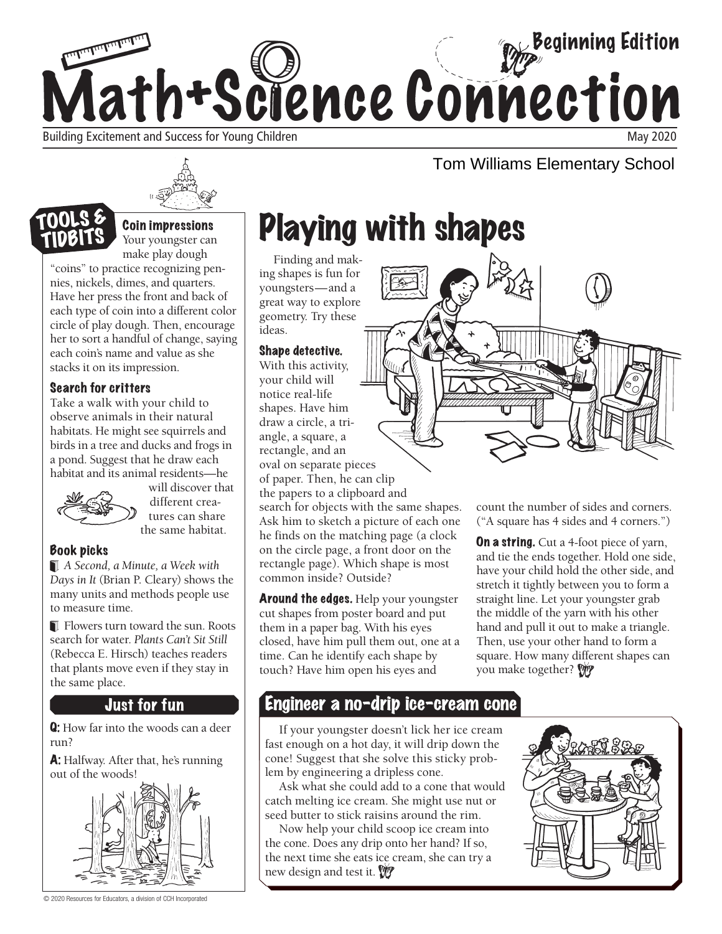



## TOOLS & TIDBIT

**Coin impressions**<br>Your youngster can make play dough

"coins" to practice recognizing pennies, nickels, dimes, and quarters. Have her press the front and back of each type of coin into a different color circle of play dough. Then, encourage her to sort a handful of change, saying each coin's name and value as she stacks it on its impression.

## Search for critters

Take a walk with your child to observe animals in their natural habitats. He might see squirrels and birds in a tree and ducks and frogs in a pond. Suggest that he draw each habitat and its animal residents—he



will discover that different creatures can share the same habitat.

## Book picks

*A Second, a Minute, a Week with Days in It* (Brian P. Cleary) shows the many units and methods people use to measure time.

Flowers turn toward the sun. Roots search for water. *Plants Can't Sit Still*  (Rebecca E. Hirsch) teaches readers that plants move even if they stay in the same place.

## Just for fun

Q: How far into the woods can a deer run?

A: Halfway. After that, he's running



© 2020 Resources for Educators, a division of CCH Incorporated

# Playing with shapes

ing shapes is fun for youngsters—and a great way to explore geometry. Try these ideas.

#### Shape detective.

"Coins" to make pay dought<br>
nective recognizing pen-<br>
nices, nickels, dimes, and quarters<br>
the from and back of<br>
ractice recognizing pen-<br>
eich the word and back of<br>
each type of coin into a different color<br>
eiched of pla With this activity, your child will notice real-life shapes. Have him draw a circle, a triangle, a square, a rectangle, and an oval on separate pieces of paper. Then, he can clip the papers to a clipboard and search for objects with the same shapes. Ask him to sketch a picture of each one he finds on the matching page (a clock on the circle page, a front door on the rectangle page). Which shape is most common inside? Outside?

**Around the edges.** Help your youngster cut shapes from poster board and put them in a paper bag. With his eyes closed, have him pull them out, one at a time. Can he identify each shape by touch? Have him open his eyes and



Tom Williams Elementary School

count the number of sides and corners. ("A square has 4 sides and 4 corners.")

**On a string.** Cut a 4-foot piece of yarn, and tie the ends together. Hold one side, have your child hold the other side, and stretch it tightly between you to form a straight line. Let your youngster grab the middle of the yarn with his other hand and pull it out to make a triangle. Then, use your other hand to form a square. How many different shapes can you make together? W

## Engineer a no-drip ice-cream cone

If your youngster doesn't lick her ice cream fast enough on a hot day, it will drip down the cone! Suggest that she solve this sticky problem by engineering a dripless cone.

Ask what she could add to a cone that would catch melting ice cream. She might use nut or seed butter to stick raisins around the rim.

Now help your child scoop ice cream into the cone. Does any drip onto her hand? If so, the next time she eats ice cream, she can try a new design and test it.